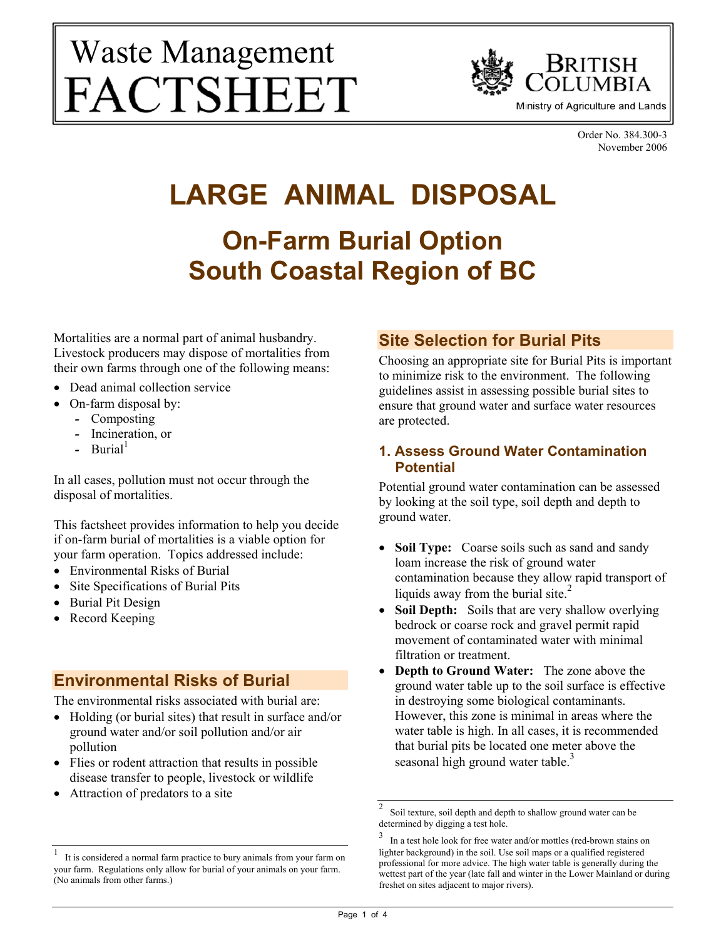# Waste Management FACTSHEET



Order No. 384.300-3 November 2006

# **LARGE ANIMAL DISPOSAL On-Farm Burial Option South Coastal Region of BC**

Mortalities are a normal part of animal husbandry. Livestock producers may dispose of mortalities from their own farms through one of the following means:

- Dead animal collection service
- On-farm disposal by:
	- *-* Composting
	- *-* Incineration, or
	- Burial<sup>1</sup>

In all cases, pollution must not occur through the disposal of mortalities.

This factsheet provides information to help you decide if on-farm burial of mortalities is a viable option for your farm operation. Topics addressed include:

- Environmental Risks of Burial
- Site Specifications of Burial Pits
- Burial Pit Design
- Record Keeping

### **Environmental Risks of Burial**

The environmental risks associated with burial are:

- Holding (or burial sites) that result in surface and/or ground water and/or soil pollution and/or air pollution
- Flies or rodent attraction that results in possible disease transfer to people, livestock or wildlife
- Attraction of predators to a site

### **Site Selection for Burial Pits**

Choosing an appropriate site for Burial Pits is important to minimize risk to the environment. The following guidelines assist in assessing possible burial sites to ensure that ground water and surface water resources are protected.

#### **1. Assess Ground Water Contamination Potential**

Potential ground water contamination can be assessed by looking at the soil type, soil depth and depth to ground water.

- **Soil Type:** Coarse soils such as sand and sandy loam increase the risk of ground water contamination because they allow rapid transport of liquids away from the burial site. $<sup>2</sup>$ </sup>
- **Soil Depth:** Soils that are very shallow overlying bedrock or coarse rock and gravel permit rapid movement of contaminated water with minimal filtration or treatment.
- **Depth to Ground Water:** The zone above the ground water table up to the soil surface is effective in destroying some biological contaminants. However, this zone is minimal in areas where the water table is high. In all cases, it is recommended that burial pits be located one meter above the seasonal high ground water table.<sup>3</sup>

<sup>1</sup> It is considered a normal farm practice to bury animals from your farm on your farm. Regulations only allow for burial of your animals on your farm. (No animals from other farms.)

<sup>2</sup> Soil texture, soil depth and depth to shallow ground water can be determined by digging a test hole.

<sup>3</sup> In a test hole look for free water and/or mottles (red-brown stains on lighter background) in the soil. Use soil maps or a qualified registered professional for more advice. The high water table is generally during the wettest part of the year (late fall and winter in the Lower Mainland or during freshet on sites adjacent to major rivers).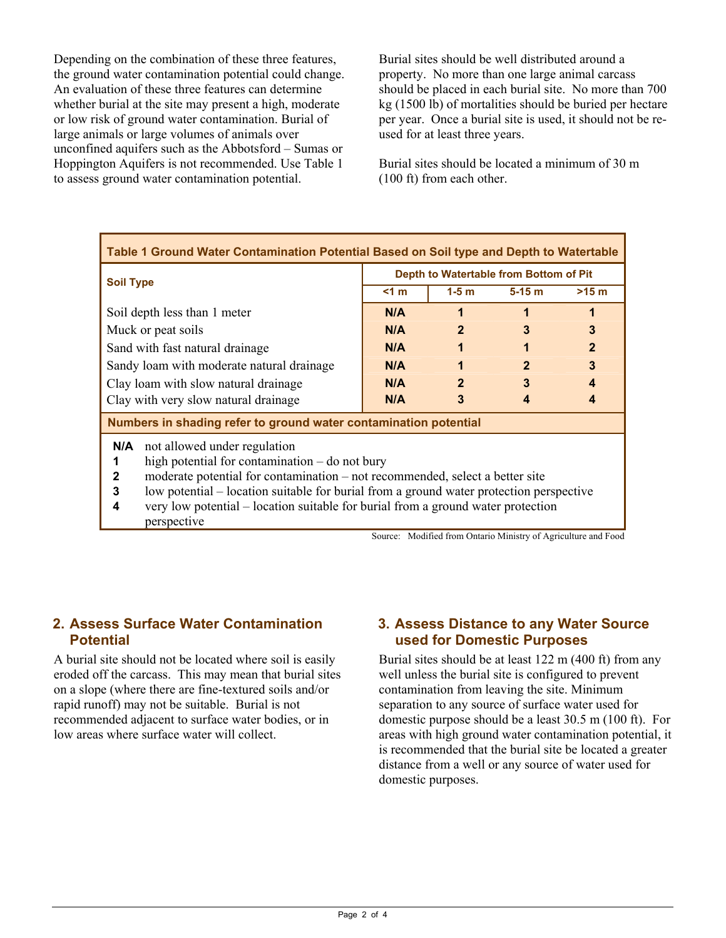Depending on the combination of these three features, the ground water contamination potential could change. An evaluation of these three features can determine whether burial at the site may present a high, moderate or low risk of ground water contamination. Burial of large animals or large volumes of animals over unconfined aquifers such as the Abbotsford – Sumas or Hoppington Aquifers is not recommended. Use Table 1 to assess ground water contamination potential.

Burial sites should be well distributed around a property. No more than one large animal carcass should be placed in each burial site. No more than 700 kg (1500 lb) of mortalities should be buried per hectare per year. Once a burial site is used, it should not be reused for at least three years.

Burial sites should be located a minimum of 30 m (100 ft) from each other.

| Table 1 Ground Water Contamination Potential Based on Soil type and Depth to Watertable                                                                                                                                                                                                                                                                                                             |                                        |                |                        |                        |
|-----------------------------------------------------------------------------------------------------------------------------------------------------------------------------------------------------------------------------------------------------------------------------------------------------------------------------------------------------------------------------------------------------|----------------------------------------|----------------|------------------------|------------------------|
| <b>Soil Type</b>                                                                                                                                                                                                                                                                                                                                                                                    | Depth to Watertable from Bottom of Pit |                |                        |                        |
|                                                                                                                                                                                                                                                                                                                                                                                                     | < 1 m                                  | $1-5$ m        | $5-15$ m               | $>15$ m                |
| Soil depth less than 1 meter                                                                                                                                                                                                                                                                                                                                                                        | N/A                                    |                | 1                      |                        |
| Muck or peat soils                                                                                                                                                                                                                                                                                                                                                                                  | N/A                                    | $\mathbf{2}$   | 3                      | 3                      |
| Sand with fast natural drainage                                                                                                                                                                                                                                                                                                                                                                     | N/A                                    | 1              |                        | $\overline{2}$         |
| Sandy loam with moderate natural drainage                                                                                                                                                                                                                                                                                                                                                           | N/A                                    |                | $\mathbf{2}$           | 3                      |
| Clay loam with slow natural drainage                                                                                                                                                                                                                                                                                                                                                                | N/A                                    | $\overline{2}$ | 3                      | $\boldsymbol{\Lambda}$ |
| Clay with very slow natural drainage                                                                                                                                                                                                                                                                                                                                                                | N/A                                    | 3              | $\boldsymbol{\Lambda}$ | Δ                      |
| Numbers in shading refer to ground water contamination potential                                                                                                                                                                                                                                                                                                                                    |                                        |                |                        |                        |
| not allowed under regulation<br>N/A<br>high potential for contamination $-$ do not bury<br>1<br>moderate potential for contamination – not recommended, select a better site<br>$\mathbf 2$<br>low potential – location suitable for burial from a ground water protection perspective<br>3<br>very low potential – location suitable for burial from a ground water protection<br>4<br>perspective |                                        |                |                        |                        |

Source: Modified from Ontario Ministry of Agriculture and Food

#### **2. Assess Surface Water Contamination Potential**

A burial site should not be located where soil is easily eroded off the carcass. This may mean that burial sites on a slope (where there are fine-textured soils and/or rapid runoff) may not be suitable. Burial is not recommended adjacent to surface water bodies, or in low areas where surface water will collect.

#### **3. Assess Distance to any Water Source used for Domestic Purposes**

Burial sites should be at least 122 m (400 ft) from any well unless the burial site is configured to prevent contamination from leaving the site. Minimum separation to any source of surface water used for domestic purpose should be a least 30.5 m (100 ft). For areas with high ground water contamination potential, it is recommended that the burial site be located a greater distance from a well or any source of water used for domestic purposes.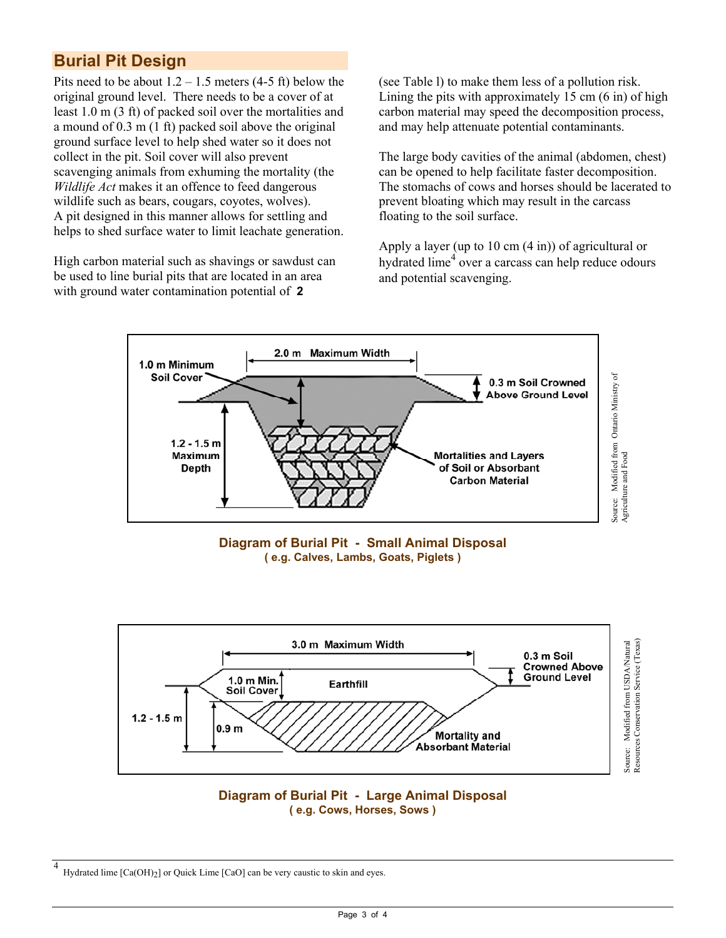# **Burial Pit Design**

Pits need to be about  $1.2 - 1.5$  meters  $(4-5 \text{ ft})$  below the original ground level. There needs to be a cover of at least 1.0 m (3 ft) of packed soil over the mortalities and a mound of 0.3 m (1 ft) packed soil above the original ground surface level to help shed water so it does not collect in the pit. Soil cover will also prevent scavenging animals from exhuming the mortality (the *Wildlife Act* makes it an offence to feed dangerous wildlife such as bears, cougars, coyotes, wolves). A pit designed in this manner allows for settling and helps to shed surface water to limit leachate generation.

High carbon material such as shavings or sawdust can be used to line burial pits that are located in an area with ground water contamination potential of **2**

(see Table l) to make them less of a pollution risk. Lining the pits with approximately 15 cm (6 in) of high carbon material may speed the decomposition process, and may help attenuate potential contaminants.

The large body cavities of the animal (abdomen, chest) can be opened to help facilitate faster decomposition. The stomachs of cows and horses should be lacerated to prevent bloating which may result in the carcass floating to the soil surface.

Apply a layer (up to 10 cm (4 in)) of agricultural or hydrated lime<sup>4</sup> over a carcass can help reduce odours and potential scavenging.









<sup>4</sup> Hydrated lime [Ca(OH)<sub>2</sub>] or Quick Lime [CaO] can be very caustic to skin and eyes.